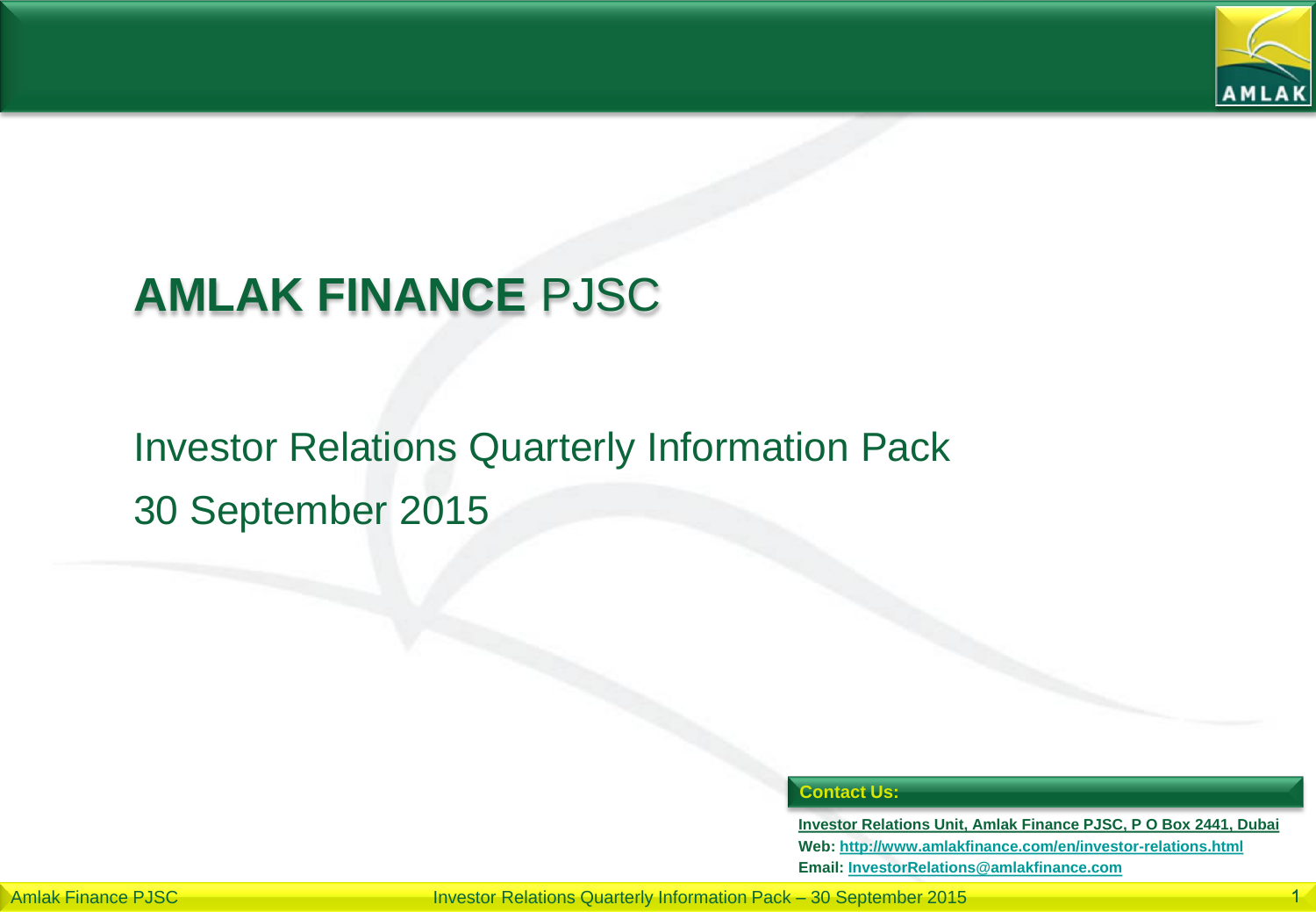

# **AMLAK FINANCE** PJSC

## Investor Relations Quarterly Information Pack 30 September 2015

#### **Contact Us:**

**Investor Relations Unit, Amlak Finance PJSC, P O Box 2441, Dubai Web: <http://www.amlakfinance.com/en/investor-relations.html> Email: [InvestorRelations@amlakfinance.com](mailto:InvestorRelations@amlakfinance.com)**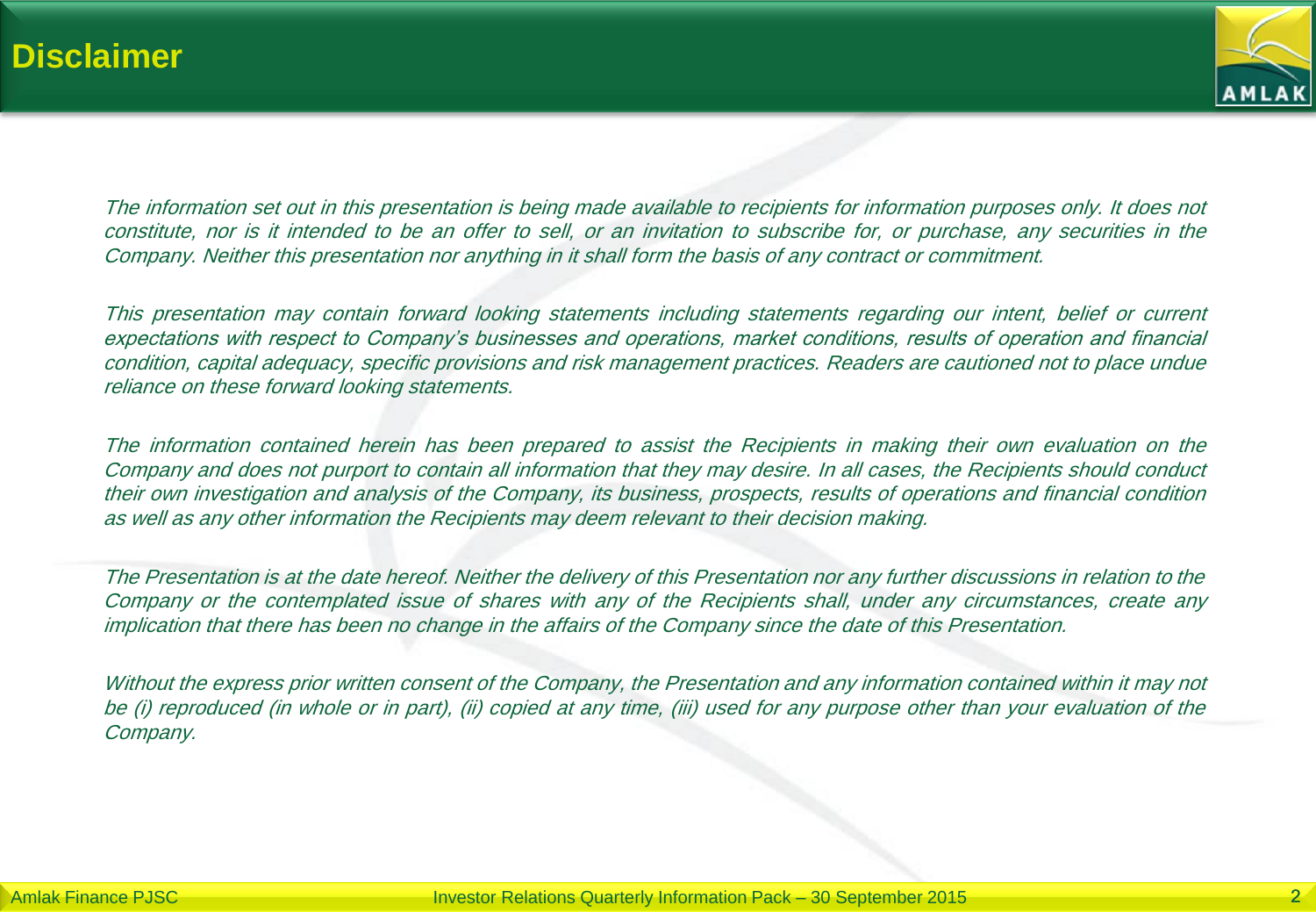

The information set out in this presentation is being made available to recipients for information purposes only. It does not constitute, nor is it intended to be an offer to sell, or an invitation to subscribe for, or purchase, any securities in the Company. Neither this presentation nor anything in it shall form the basis of any contract or commitment.

This presentation may contain forward looking statements including statements regarding our intent, belief or current expectations with respect to Company's businesses and operations, market conditions, results of operation and financial condition, capital adequacy, specific provisions and risk management practices. Readers are cautioned not to place undue reliance on these forward looking statements.

The information contained herein has been prepared to assist the Recipients in making their own evaluation on the Company and does not purport to contain all information that they may desire. In all cases, the Recipients should conduct their own investigation and analysis of the Company, its business, prospects, results of operations and financial condition as well as any other information the Recipients may deem relevant to their decision making.

The Presentation is at the date hereof. Neither the delivery of this Presentation nor any further discussions in relation to the Company or the contemplated issue of shares with any of the Recipients shall, under any circumstances, create any implication that there has been no change in the affairs of the Company since the date of this Presentation.

Without the express prior written consent of the Company, the Presentation and any information contained within it may not be (i) reproduced (in whole or in part), (ii) copied at any time, (iii) used for any purpose other than your evaluation of the Company.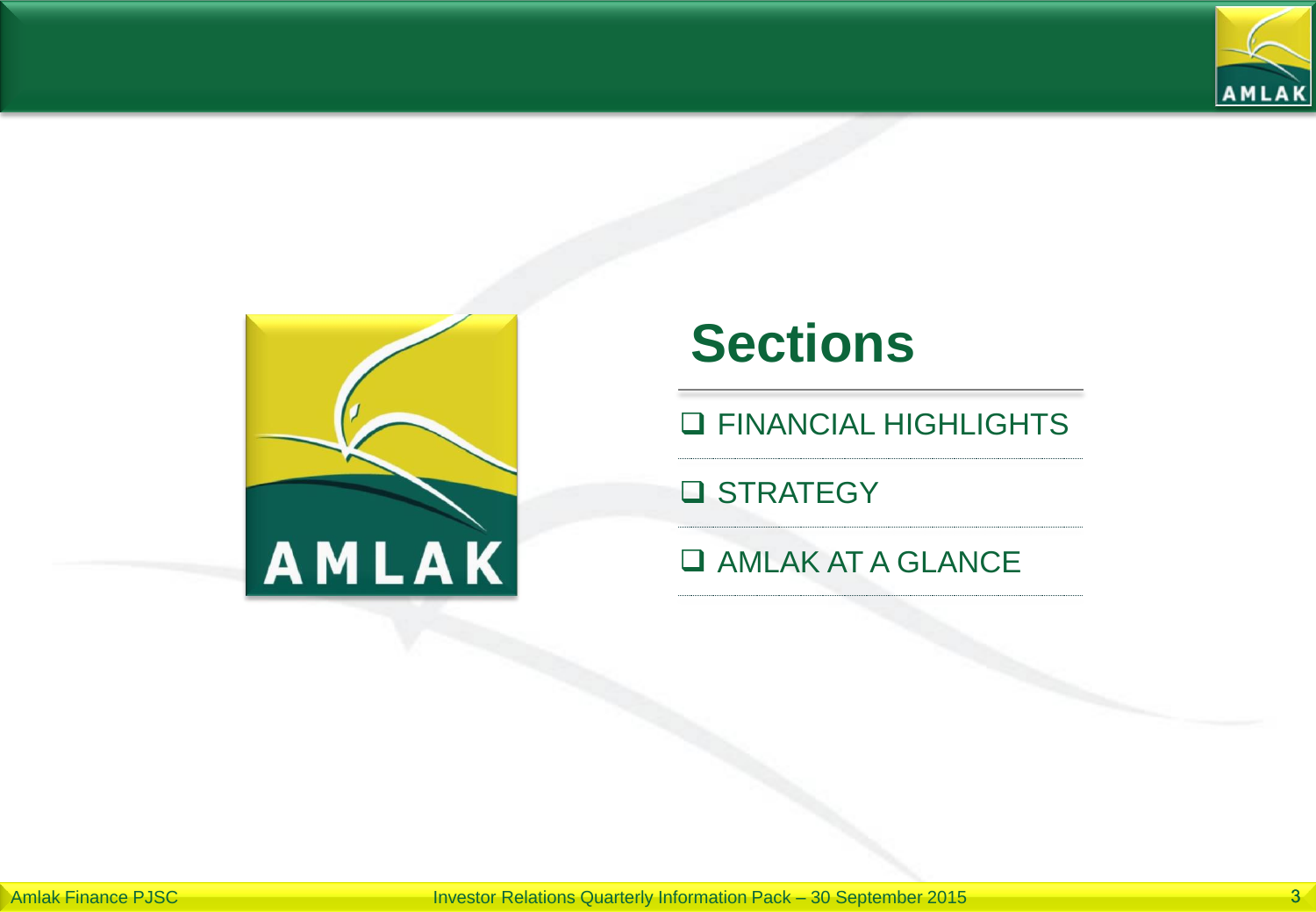



# **Sections**

**Q FINANCIAL HIGHLIGHTS** 

**Q** STRATEGY

#### **Q AMLAK AT A GLANCE**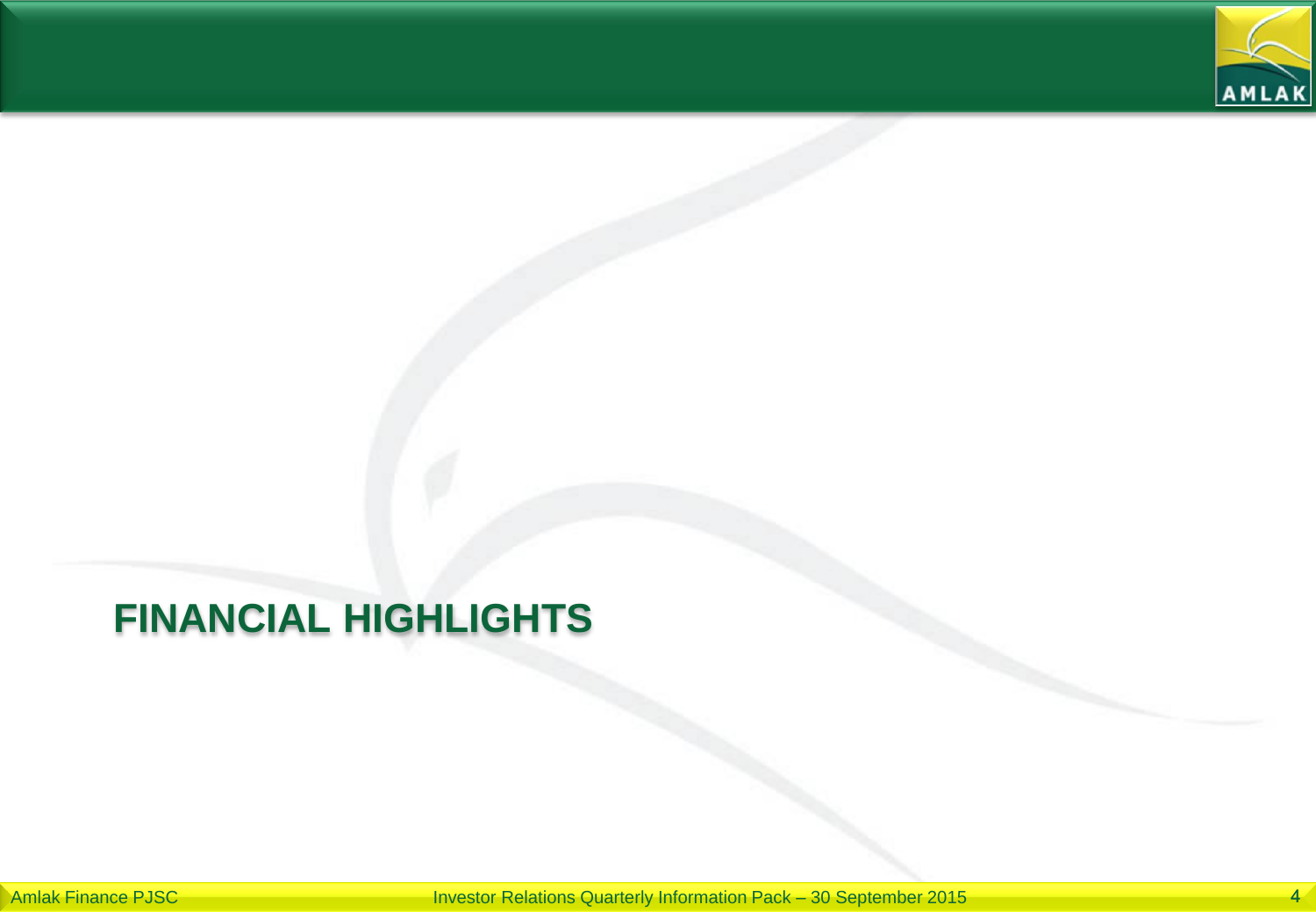

## **FINANCIAL HIGHLIGHTS**

Amlak Finance PJSC **Investor Relations Quarterly Information Pack – 30 September 2015**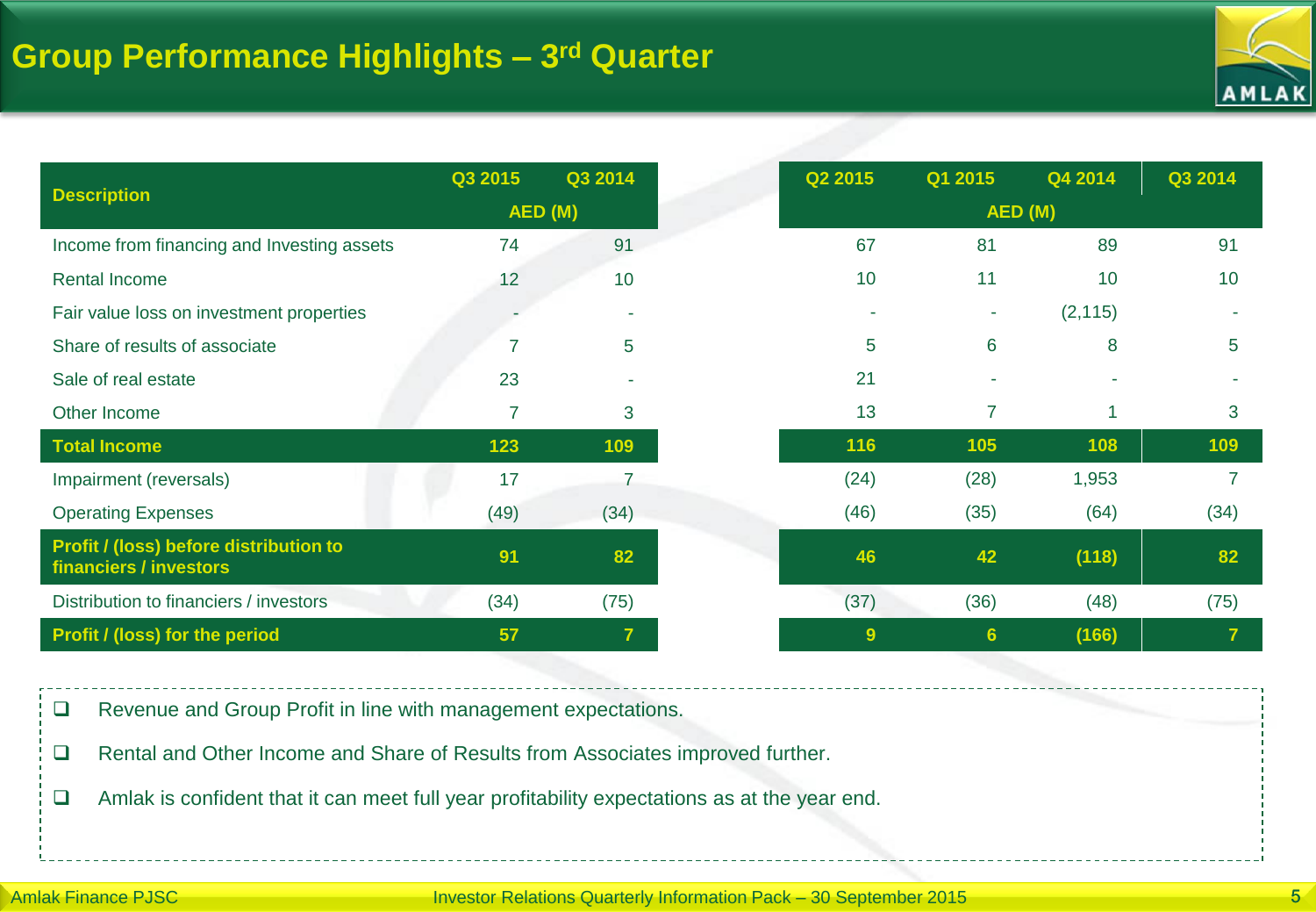

|                                                                  | Q3 2015        | Q3 2014                  | Q2 2015 | Q1 2015                  | Q4 2014  | Q3 2014 |
|------------------------------------------------------------------|----------------|--------------------------|---------|--------------------------|----------|---------|
| <b>Description</b>                                               |                | AED (M)                  |         | AED (M)                  |          |         |
| Income from financing and Investing assets                       | 74             | 91                       | 67      | 81                       | 89       | 91      |
| <b>Rental Income</b>                                             | 12             | 10                       | 10      | 11                       | 10       | 10      |
| Fair value loss on investment properties                         |                | $\overline{\phantom{a}}$ |         | ÷                        | (2, 115) |         |
| Share of results of associate                                    |                | 5                        | 5       | 6                        | 8        | 5       |
| Sale of real estate                                              | 23             |                          | 21      | $\overline{\phantom{a}}$ |          |         |
| Other Income                                                     | $\overline{7}$ | 3                        | 13      | 7                        | 1        | 3       |
| <b>Total Income</b>                                              | 123            | 109                      | 116     | 105                      | 108      | 109     |
| Impairment (reversals)                                           | 17             | 7                        | (24)    | (28)                     | 1,953    |         |
| <b>Operating Expenses</b>                                        | (49)           | (34)                     | (46)    | (35)                     | (64)     | (34)    |
| Profit / (loss) before distribution to<br>financiers / investors | 91             | 82                       | 46      | 42                       | (118)    | 82      |
| Distribution to financiers / investors                           | (34)           | (75)                     | (37)    | (36)                     | (48)     | (75)    |
| <b>Profit / (loss) for the period</b>                            | 57             | $\overline{\mathbf{r}}$  | 9       | 6 <sup>5</sup>           | (166)    | 7       |

Revenue and Group Profit in line with management expectations.

□ Rental and Other Income and Share of Results from Associates improved further.

Amlak is confident that it can meet full year profitability expectations as at the year end.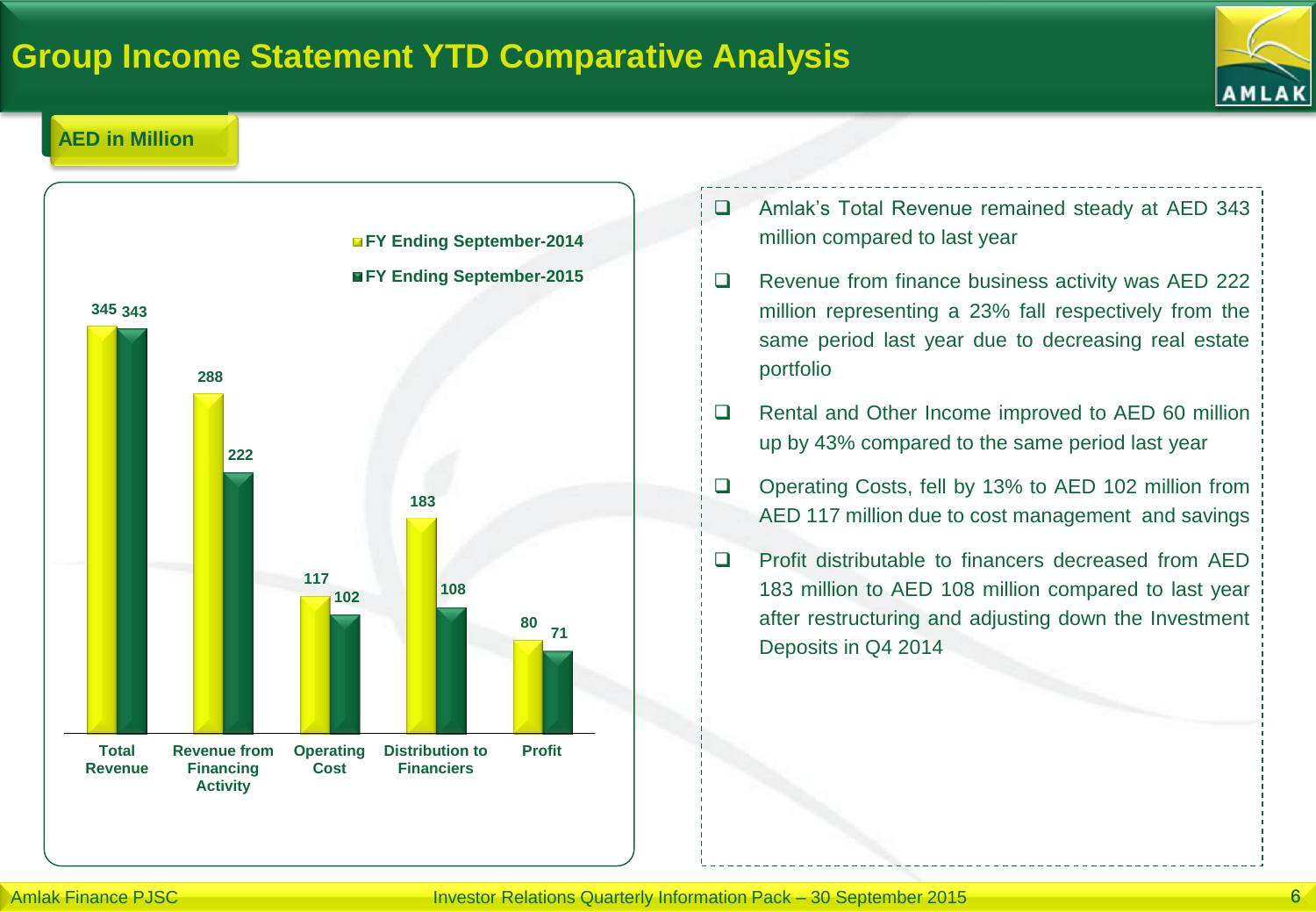### **Group Income Statement YTD Comparative Analysis**



#### **AED in Million**



- Amlak's Total Revenue remained steady at AED 343 million compared to last year
- $\Box$  Revenue from finance business activity was AED 222 million representing a 23% fall respectively from the same period last year due to decreasing real estate portfolio
- □ Rental and Other Income improved to AED 60 million up by 43% compared to the same period last year
- □ Operating Costs, fell by 13% to AED 102 million from AED 117 million due to cost management and savings
- □ Profit distributable to financers decreased from AED 183 million to AED 108 million compared to last year after restructuring and adjusting down the Investment Deposits in Q4 2014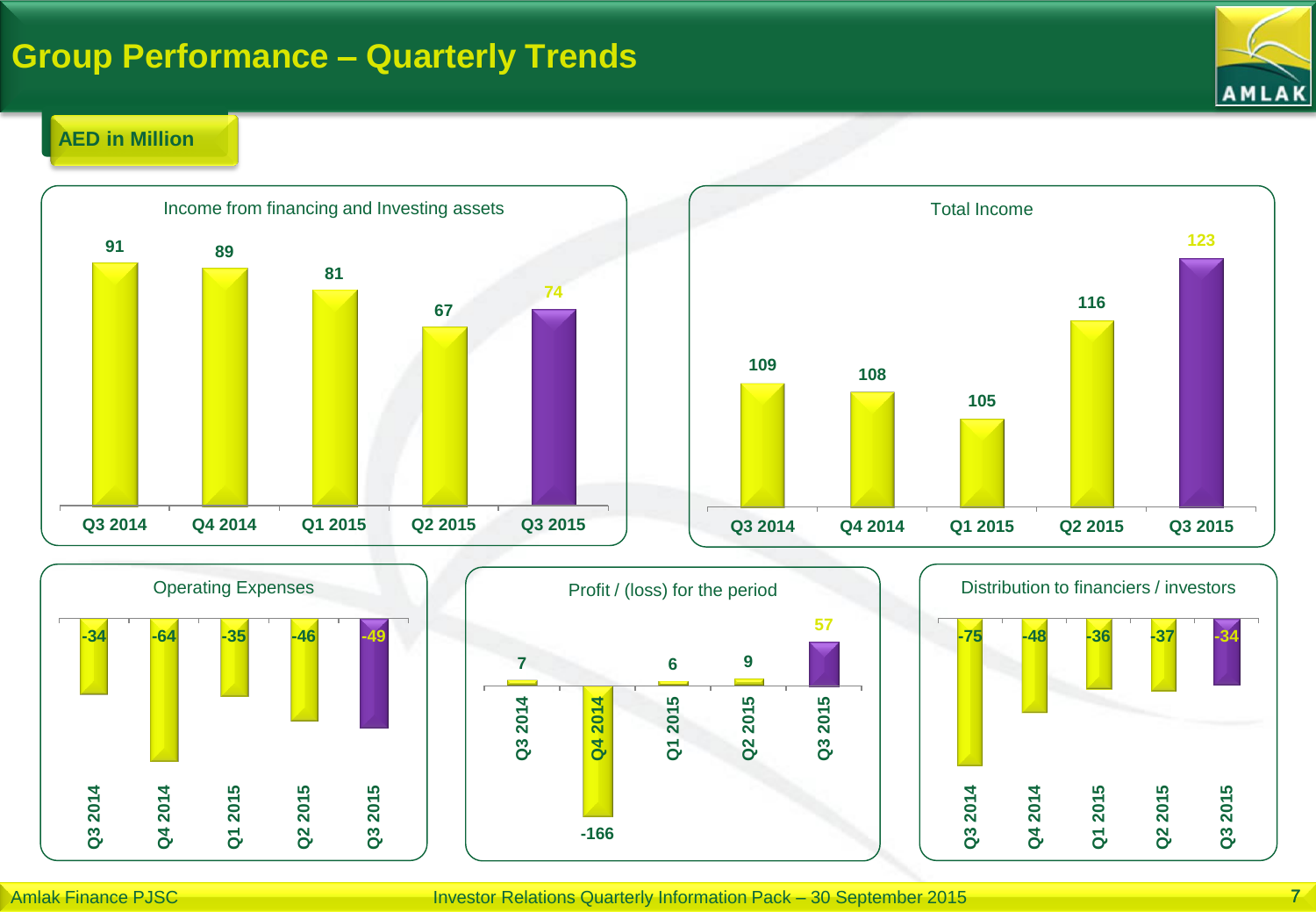### **Group Performance – Quarterly Trends**



#### **AED in Million**









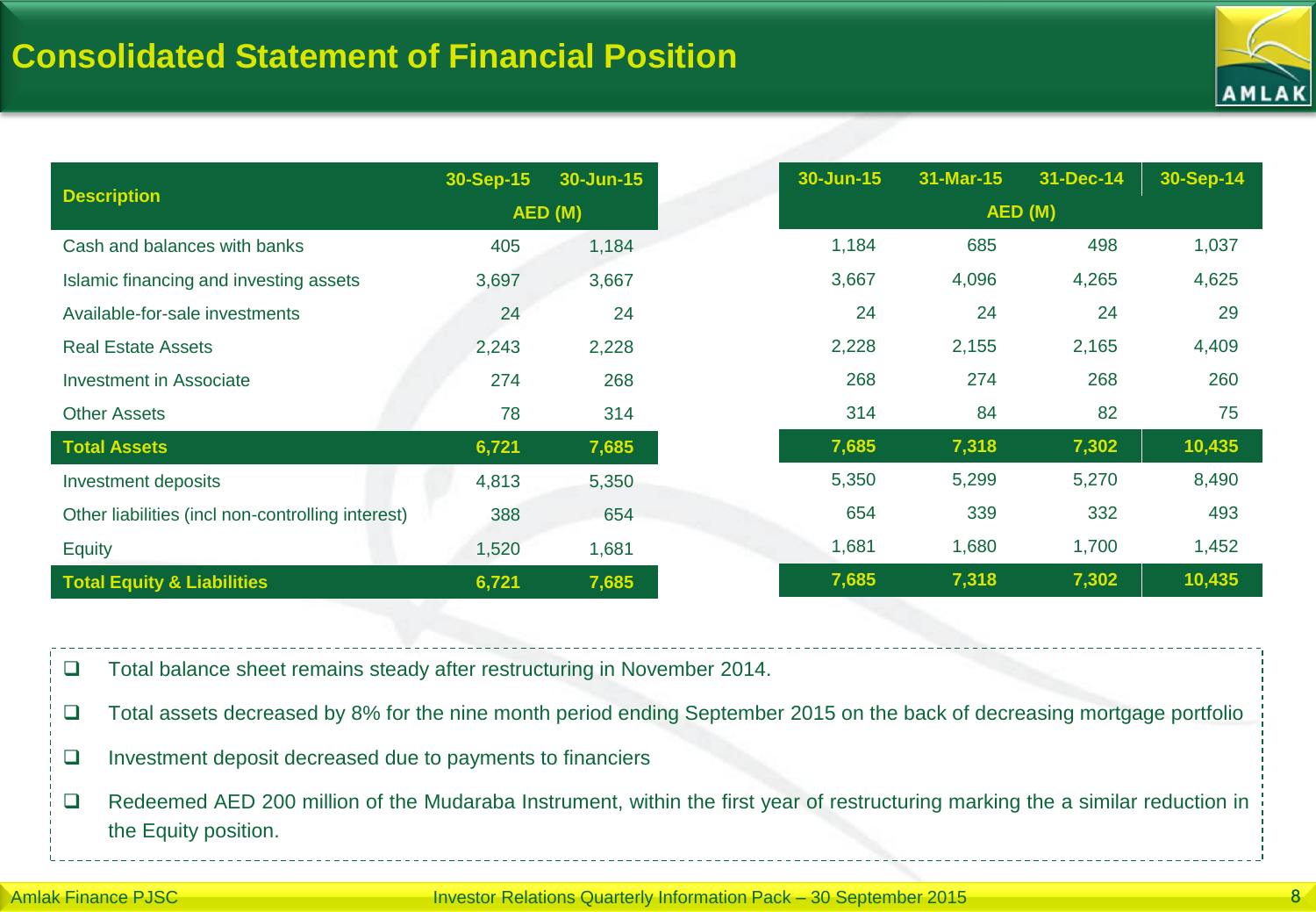

|                                                   | 30-Sep-15 | 30-Jun-15 | 30-Jun-15 | 31-Mar-15  | 31-Dec-14 |  |  |
|---------------------------------------------------|-----------|-----------|-----------|------------|-----------|--|--|
| <b>Description</b>                                | AED(M)    |           |           | AED (M)    |           |  |  |
| Cash and balances with banks                      | 405       | 1,184     | 1,184     | 685        | 498       |  |  |
| Islamic financing and investing assets            | 3,697     | 3,667     | 3,667     | 4,096      | 4,265     |  |  |
| Available-for-sale investments                    | 24        | 24        |           | 24<br>24   | 24        |  |  |
| <b>Real Estate Assets</b>                         | 2,243     | 2,228     | 2,228     | 2,155      | 2,165     |  |  |
| Investment in Associate                           | 274       | 268       |           | 274<br>268 | 268       |  |  |
| <b>Other Assets</b>                               | 78        | 314       |           | 314<br>84  | 82        |  |  |
| <b>Total Assets</b>                               | 6,721     | 7,685     | 7,685     | 7,318      | 7,302     |  |  |
| Investment deposits                               | 4,813     | 5,350     | 5,350     | 5,299      | 5,270     |  |  |
| Other liabilities (incl non-controlling interest) | 388       | 654       |           | 339<br>654 | 332       |  |  |
| Equity                                            | 1,520     | 1,681     | 1,681     | 1,680      | 1,700     |  |  |
| <b>Total Equity &amp; Liabilities</b>             | 6,721     | 7,685     | 7,685     | 7,318      | 7,302     |  |  |

□ Total balance sheet remains steady after restructuring in November 2014.

- $\square$  Total assets decreased by 8% for the nine month period ending September 2015 on the back of decreasing mortgage portfolio
- $\Box$  Investment deposit decreased due to payments to financiers
- □ Redeemed AED 200 million of the Mudaraba Instrument, within the first year of restructuring marking the a similar reduction in the Equity position.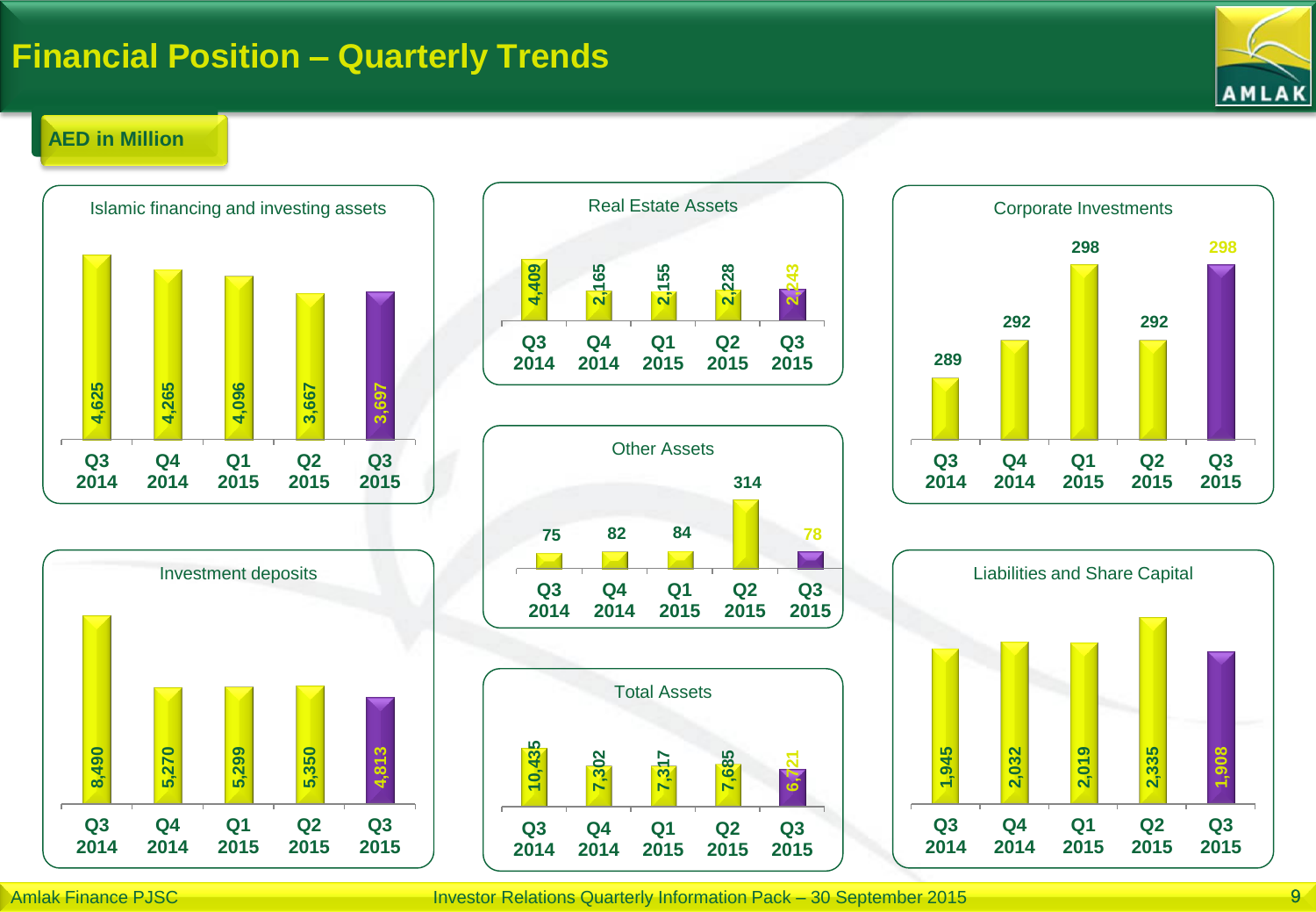### **Financial Position – Quarterly Trends**



#### **AED in Million**













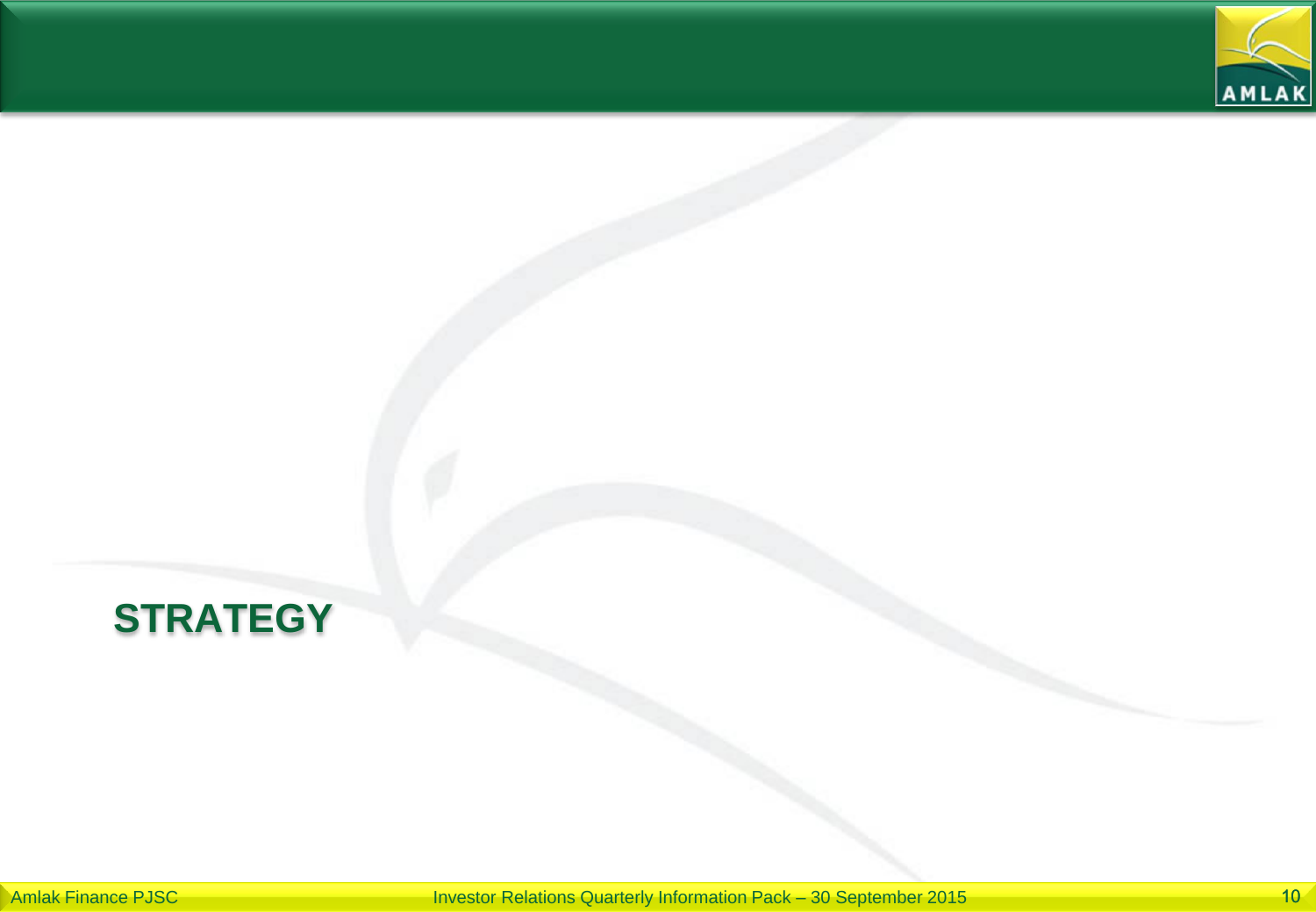

## **STRATEGY**

Amlak Finance PJSC **Investor Relations Quarterly Information Pack – 30 September 2015** 10<sup>1</sup>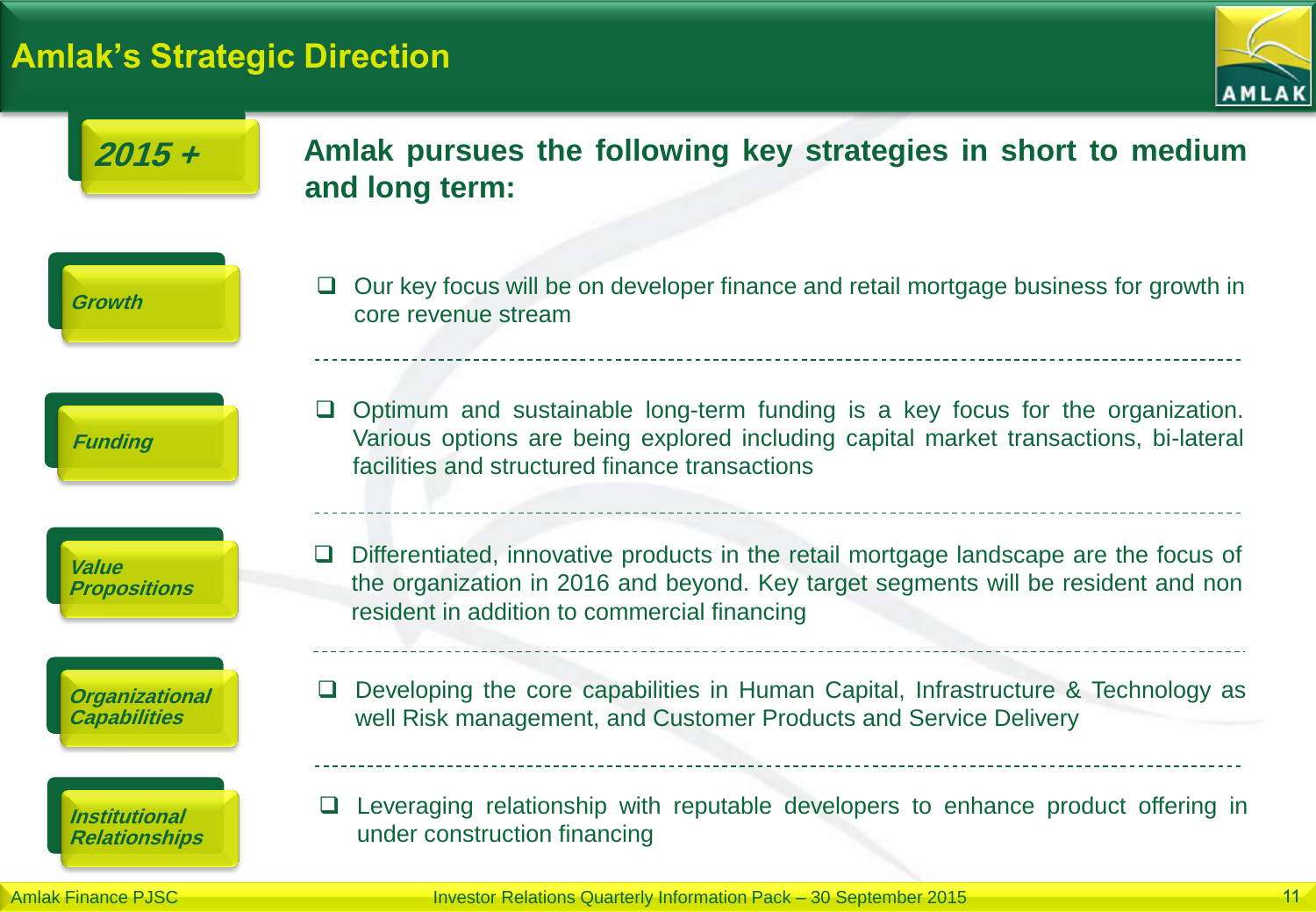#### **Amlak's Strategic Direction**





Amlak Finance PJSC **Investor Relations Quarterly Information Pack – 30 September 2015** 11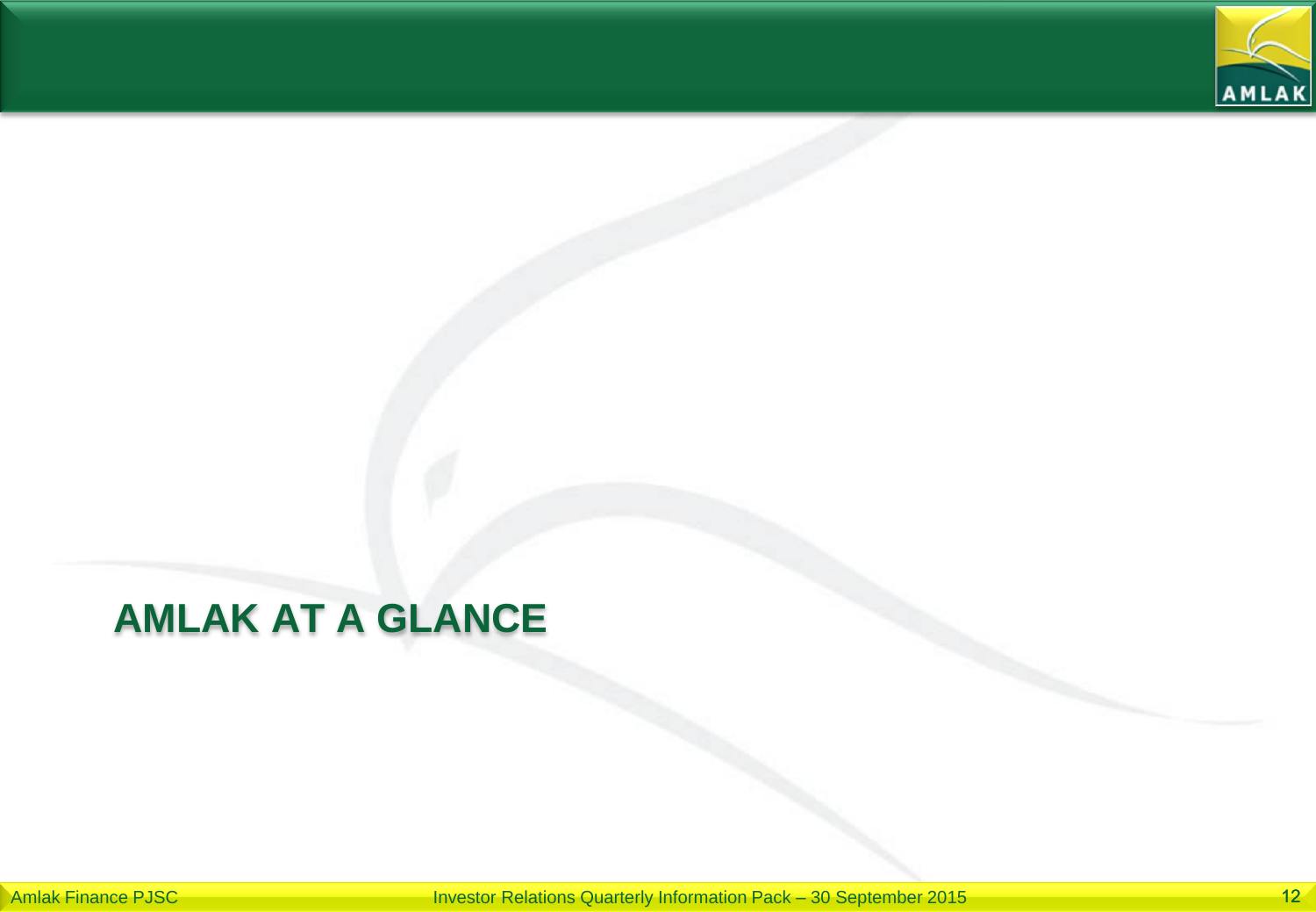

## **AMLAK AT A GLANCE**

Amlak Finance PJSC **Investor Relations Quarterly Information Pack – 30 September 2015** 12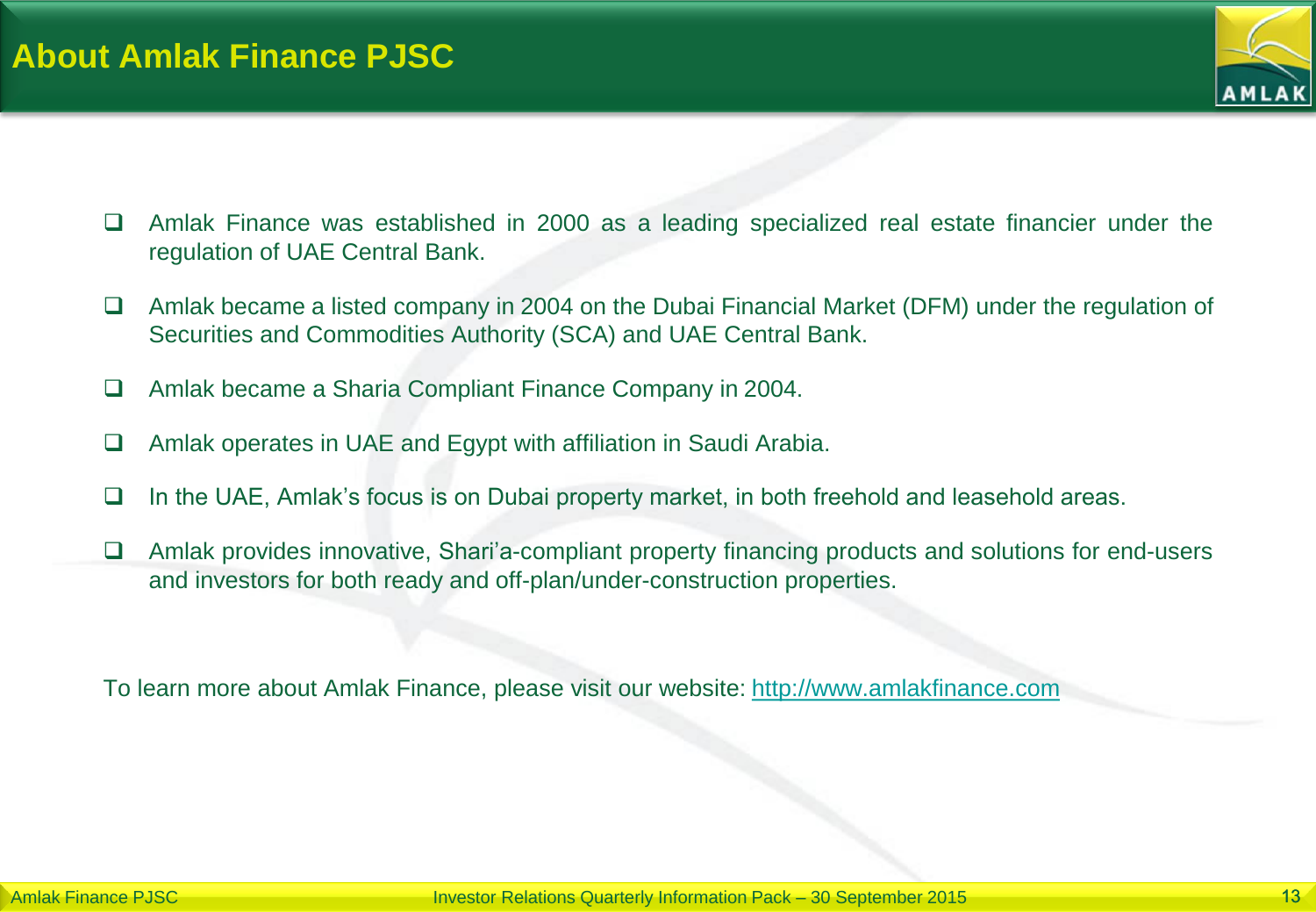

- Amlak Finance was established in 2000 as a leading specialized real estate financier under the regulation of UAE Central Bank.
- $\Box$  Amlak became a listed company in 2004 on the Dubai Financial Market (DFM) under the regulation of Securities and Commodities Authority (SCA) and UAE Central Bank.
- Amlak became a Sharia Compliant Finance Company in 2004.
- Amlak operates in UAE and Egypt with affiliation in Saudi Arabia.
- $\Box$  In the UAE, Amlak's focus is on Dubai property market, in both freehold and leasehold areas.
- □ Amlak provides innovative, Shari'a-compliant property financing products and solutions for end-users and investors for both ready and off-plan/under-construction properties.

To learn more about Amlak Finance, please visit our website: [http://www.amlakfinance.com](http://www.amlakfinance.com/)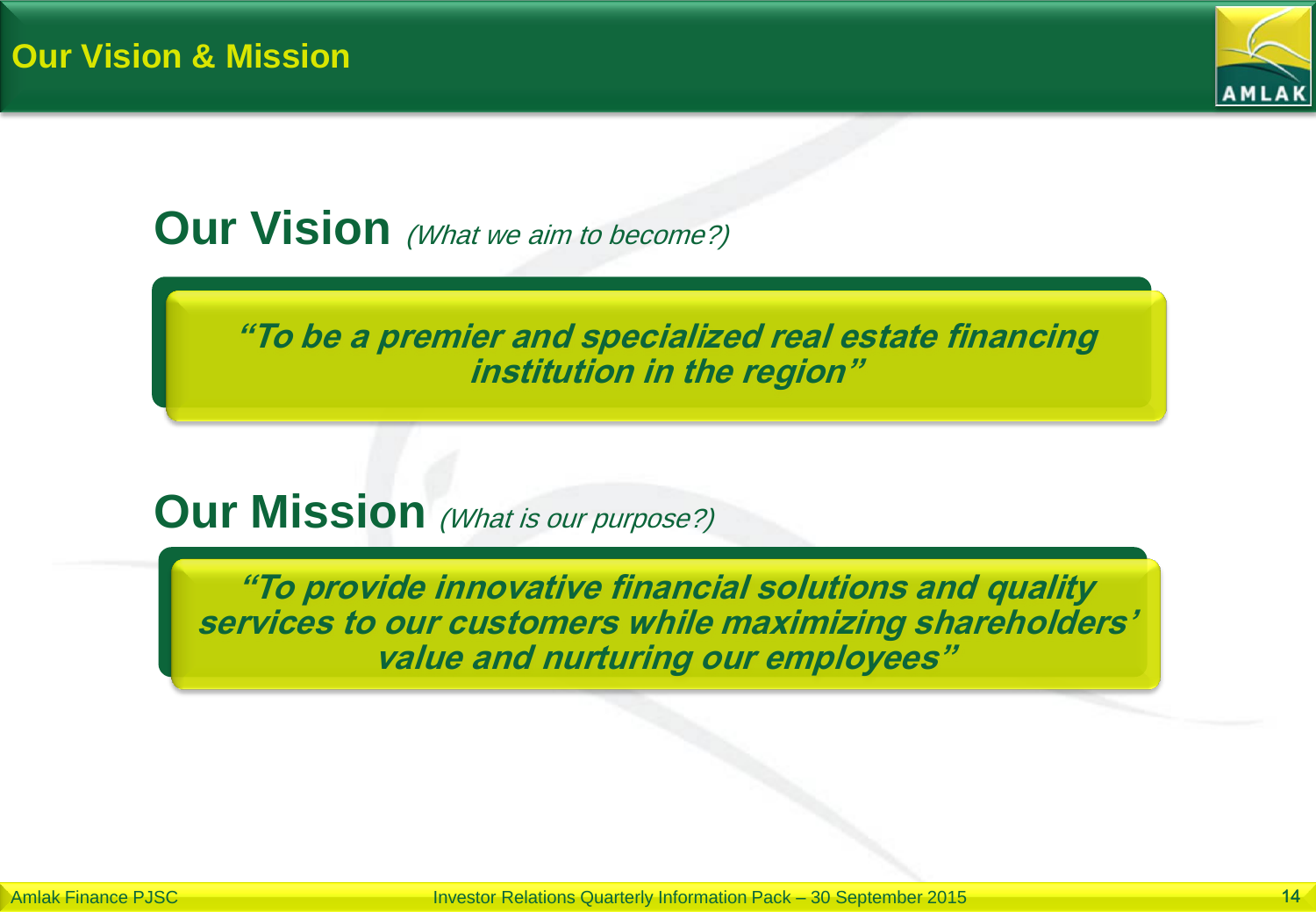

## **Our Vision** (What we aim to become?)

**"To be a premier and specialized real estate financing institution in the region"**

### **Our Mission** (What is our purpose?)

**"To provide innovative financial solutions and quality services to our customers while maximizing shareholders' value and nurturing our employees"**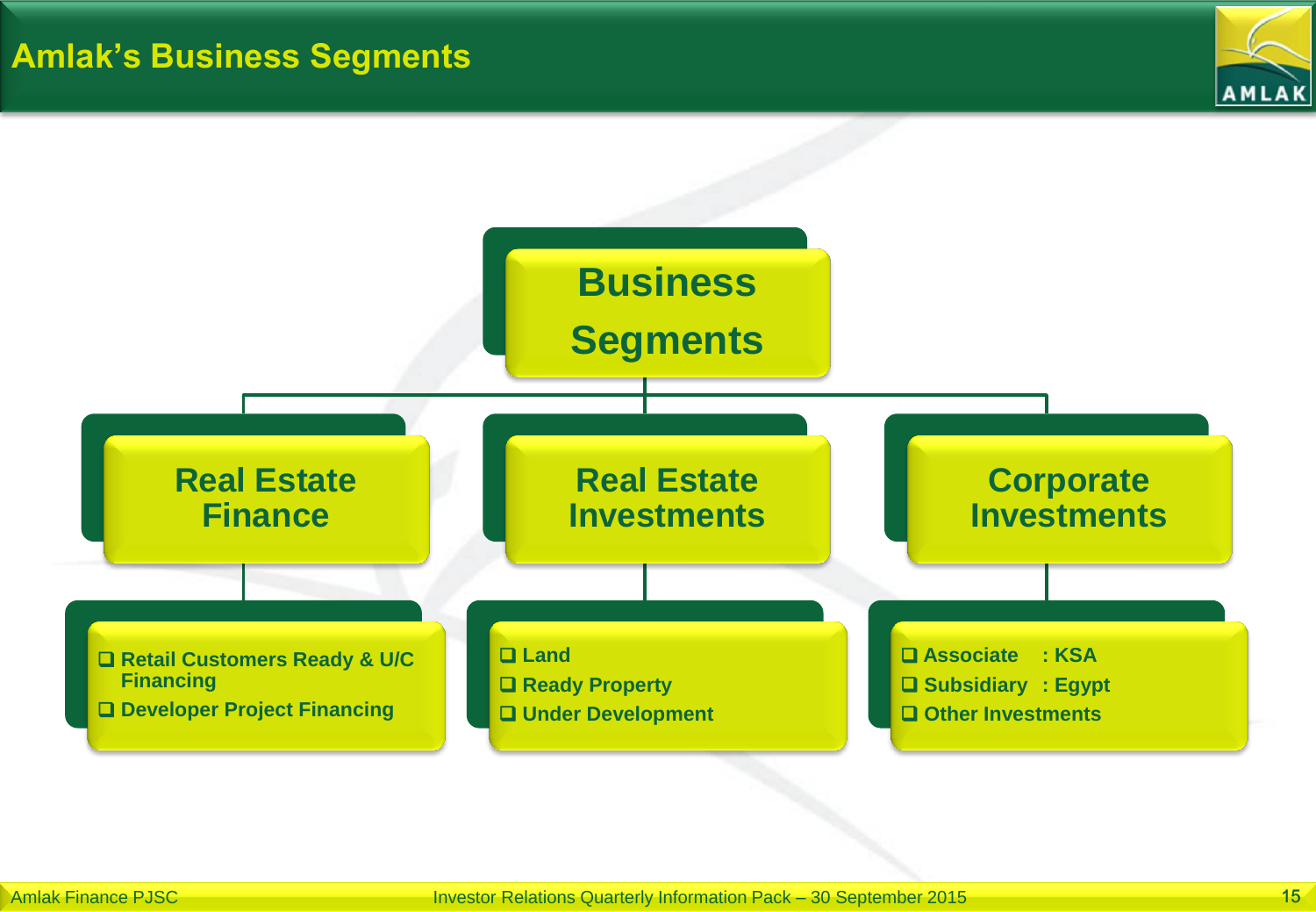

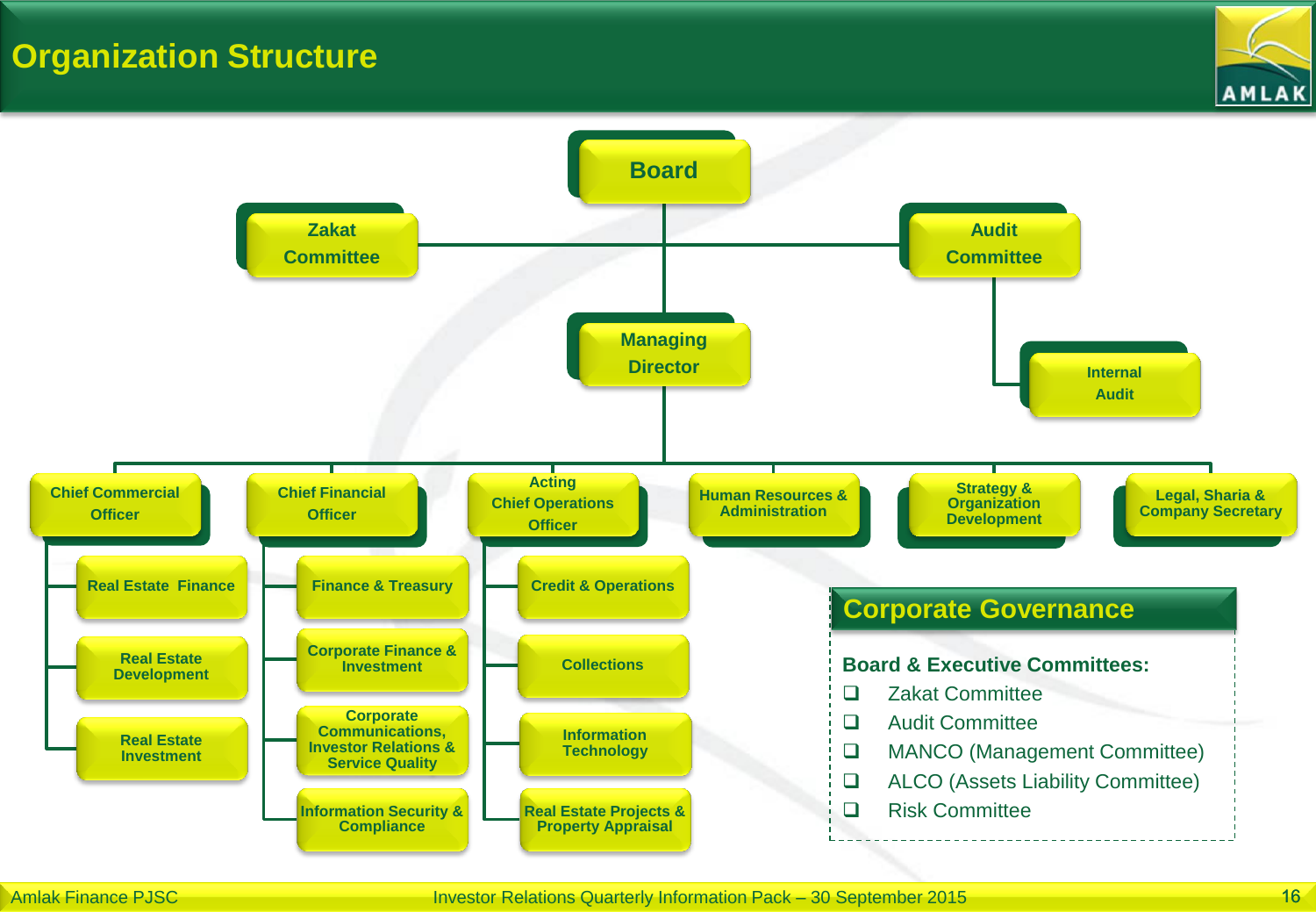### **Organization Structure**